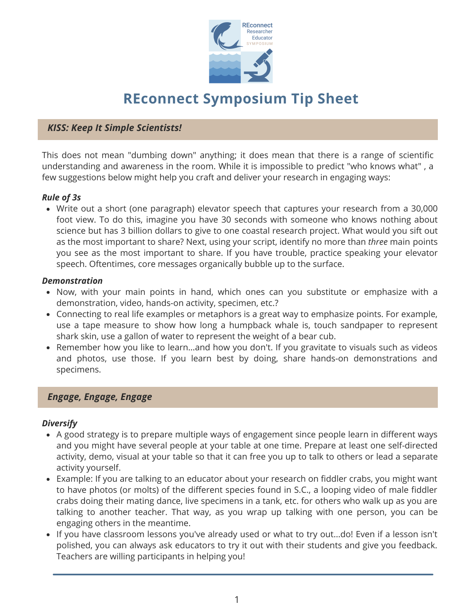

# **REconnect Symposium Tip Sheet**

#### *KISS: Keep It Simple Scientists!*

This does not mean "dumbing down" anything; it does mean that there is a range of scientific understanding and awareness in the room. While it is impossible to predict "who knows what" , a few suggestions below might help you craft and deliver your research in engaging ways:

#### *Rule of 3s*

Write out a short (one paragraph) elevator speech that captures your research from a 30,000 foot view. To do this, imagine you have 30 seconds with someone who knows nothing about science but has 3 billion dollars to give to one coastal research project. What would you sift out as the most important to share? Next, using your script, identify no more than *three* main points you see as the most important to share. If you have trouble, practice speaking your elevator speech. Oftentimes, core messages organically bubble up to the surface.

#### *Demonstration*

- Now, with your main points in hand, which ones can you substitute or emphasize with a demonstration, video, hands-on activity, specimen, etc.?
- Connecting to real life examples or metaphors is a great way to emphasize points. For example, use a tape measure to show how long a humpback whale is, touch sandpaper to represent shark skin, use a gallon of water to represent the weight of a bear cub.
- Remember how you like to learn...and how you don't. If you gravitate to visuals such as videos and photos, use those. If you learn best by doing, share hands-on demonstrations and specimens.

#### *Engage, Engage, Engage*

#### *Diversify*

- A good strategy is to prepare multiple ways of engagement since people learn in different ways and you might have several people at your table at one time. Prepare at least one self-directed activity, demo, visual at your table so that it can free you up to talk to others or lead a separate activity yourself.
- Example: If you are talking to an educator about your research on fiddler crabs, you might want to have photos (or molts) of the different species found in S.C., a looping video of male fiddler crabs doing their mating dance, live specimens in a tank, etc. for others who walk up as you are talking to another teacher. That way, as you wrap up talking with one person, you can be engaging others in the meantime.
- If you have classroom lessons you've already used or what to try out...do! Even if a lesson isn't polished, you can always ask educators to try it out with their students and give you feedback. Teachers are willing participants in helping you!